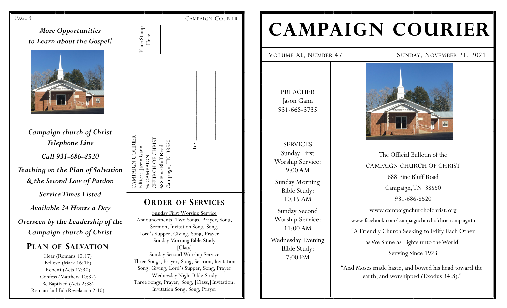

# **CAMPAIGN COURIER**

VOLUME XI, NUMBER 47 SUNDAY, NOVEMBER 21, 2021

PREACHER Jason Gann 931-668-3735

SERVICES Sunday First Worship Service: 9:00 AM Sunday Morning Bible Study: 10:15 AM

Sunday Second Worship Service: 11:00 AM Wednesday Evening Bible Study: 7:00 PM



The Official Bulletin of the CAMPAIGN CHURCH OF CHRIST 688 Pine Bluff Road Campaign, TN 38550 931-686-8520 www.campaignchurchofchrist.org www.facebook.com/campaignchurchofchristcampaigntn "A Friendly Church Seeking to Edify Each Other as We Shine as Lights unto the World" Serving Since 1923

"And Moses made haste, and bowed his head toward the earth, and worshipped (Exodus 34:8)."